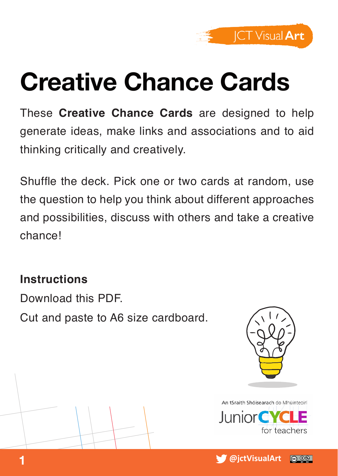

#### **Creative Chance Cards**

These **Creative Chance Cards** are designed to help generate ideas, make links and associations and to aid thinking critically and creatively.

Shuffle the deck. Pick one or two cards at random, use the question to help you think about different approaches and possibilities, discuss with others and take a creative chance!

#### **Instructions**

Download this PDF.

Cut and paste to A6 size cardboard.



An tSraith Shóisearach do Mhúinteoirí lunior C for teachers

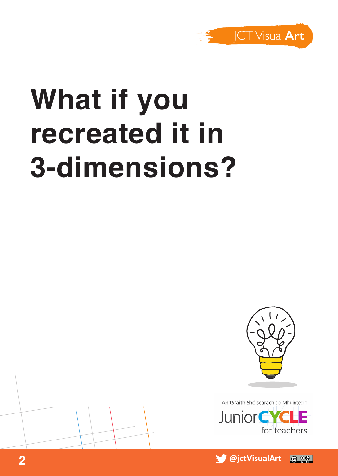

# **What if you recreated it in 3-dimensions?**



An tSraith Shóisearach do Mhúinteoirí



 **@jctVisualArt 2** @ 0ි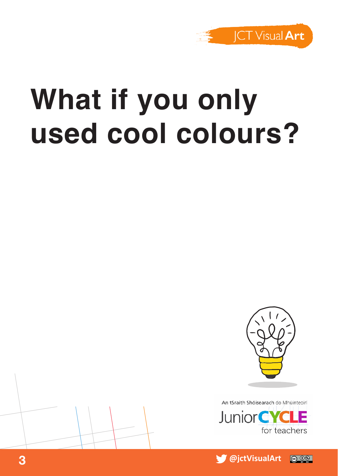

## **What if you only used cool colours?**





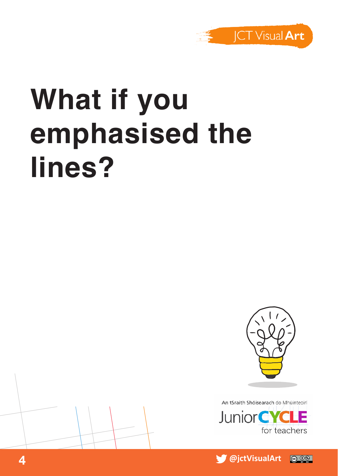

# **What if you emphasised the lines?**





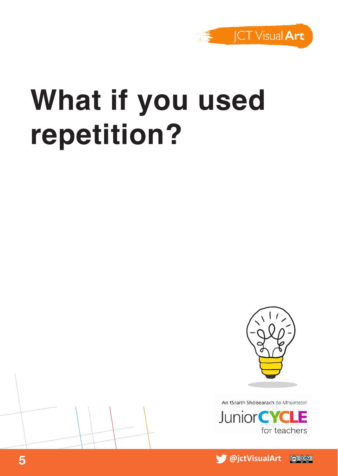

## **What if you used repetition?**





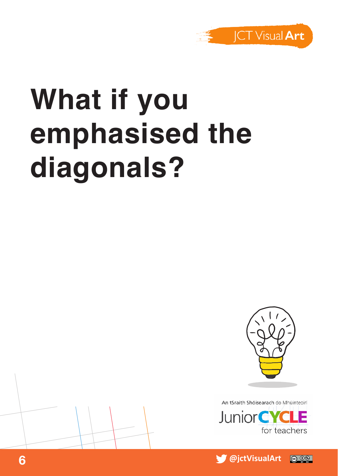

# **What if you emphasised the diagonals?**





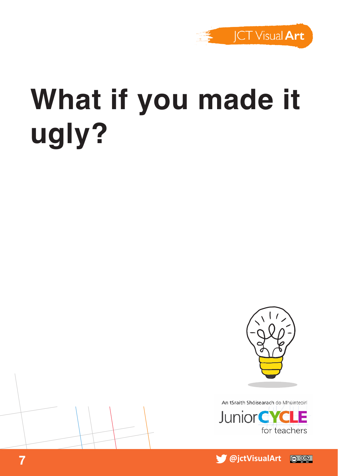

# **What if you made it ugly?**





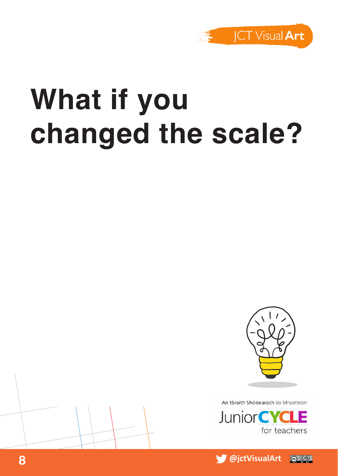

## **What if you changed the scale?**





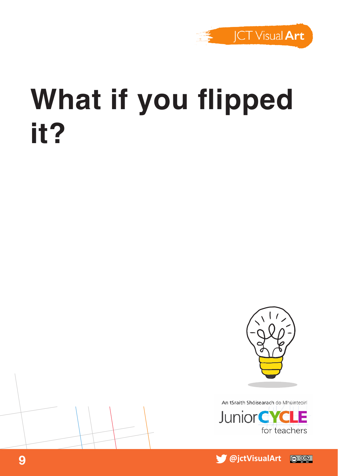

#### **What if you flipped it?**





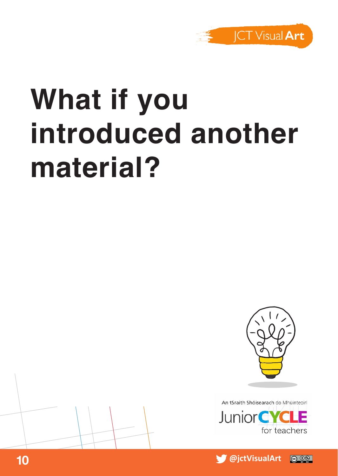

# **What if you introduced another material?**



An tSraith Shóisearach do Mhúinteoirí



 **@jctVisualArt 10** @ 06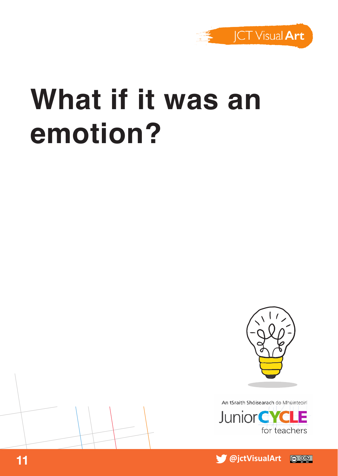

### **What if it was an emotion?**





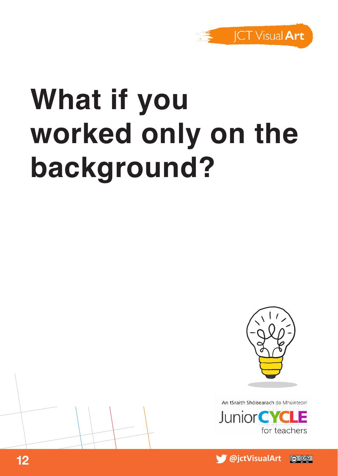

# **What if you worked only on the background?**





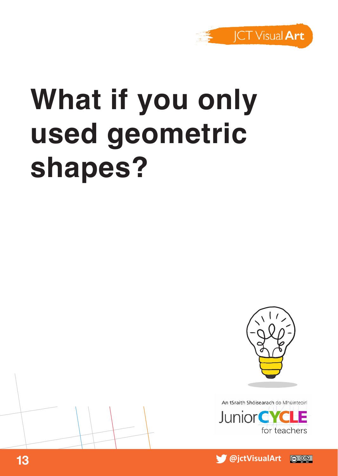

# **What if you only used geometric shapes?**



An tSraith Shóisearach do Mhúinteoirí **JuniorCYC** for teachers

 **13 a 13 a 13 a 13 a 13 a 13 a 13 a 13 a 13** @ 0⊛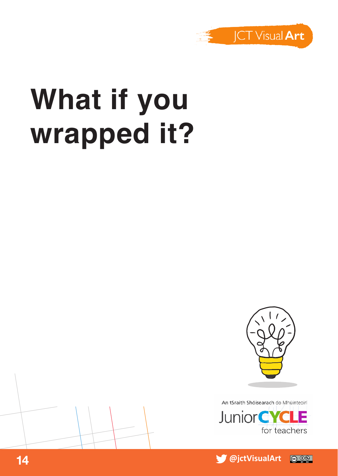

# **What if you wrapped it?**





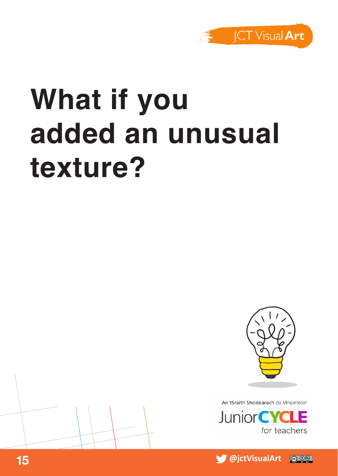

# **What if you added an unusual texture?**



An tSraith Shóisearach do Mhúinteoirí



 **15 a a 15 a 16 a 16 a 16 a 16 a 16 a 16 a 16 a 16** @ 06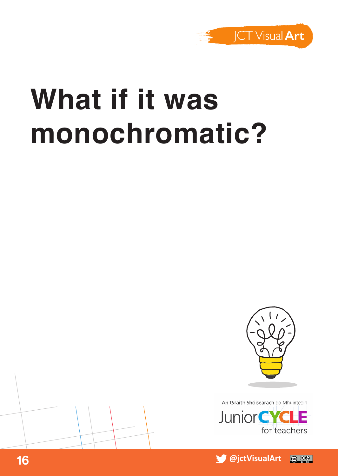

### **What if it was monochromatic?**





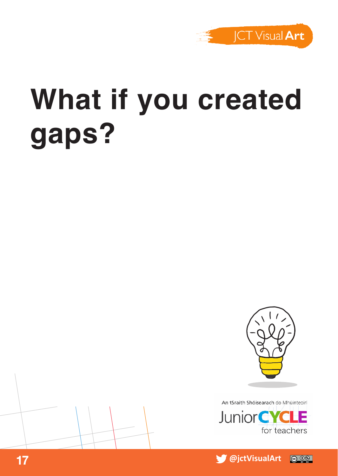

# **What if you created gaps?**





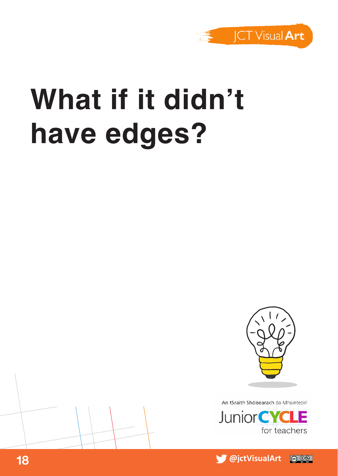

## **What if it didn't have edges?**





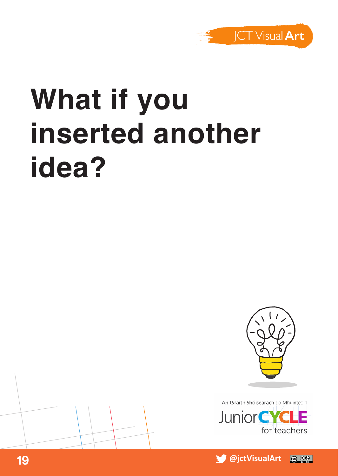

# **What if you inserted another idea?**



An tSraith Shóisearach do Mhúinteoirí **Junior CYC** for teachers

 **19 a**  *<b>19* **a**  *<b>19</del> a <i> <b>g <b>g <b>g <b>g <b>g* @ 0⊛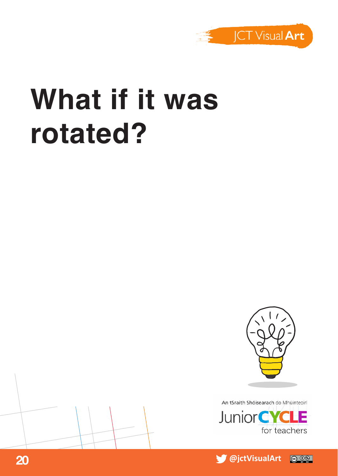

#### **What if it was rotated?**







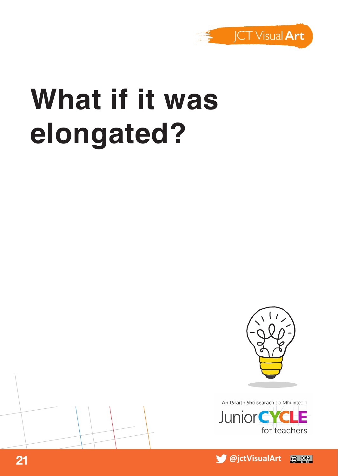

## **What if it was elongated?**



An tSraith Shóisearach do Mhúinteoirí



 **@jctVisualArt 21**  $\odot$   $\odot$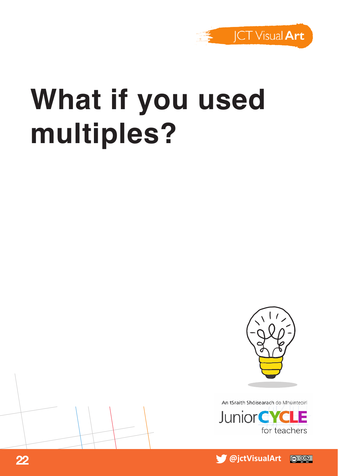

## **What if you used multiples?**





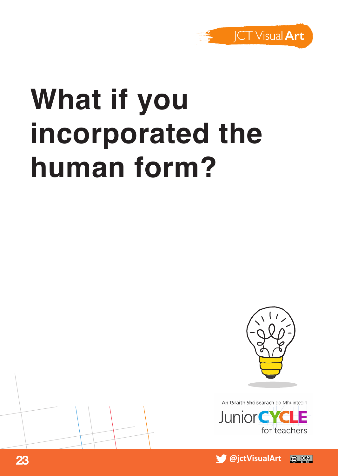

# **What if you incorporated the human form?**





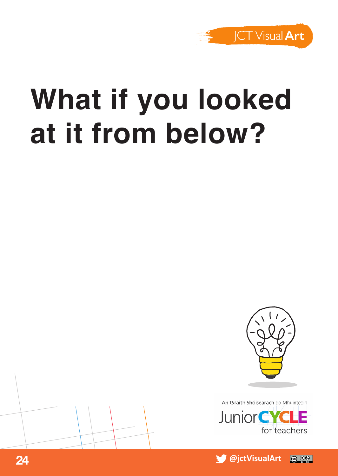

## **What if you looked at it from below?**



An tSraith Shóisearach do Mhúinteoirí



 **24 a**  *<b>a <b>1 <b>1</del> 1 1 1* @ 0ි

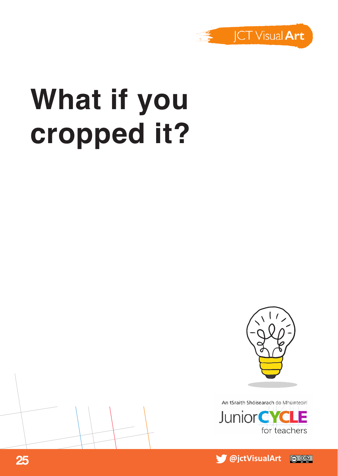

# **What if you cropped it?**







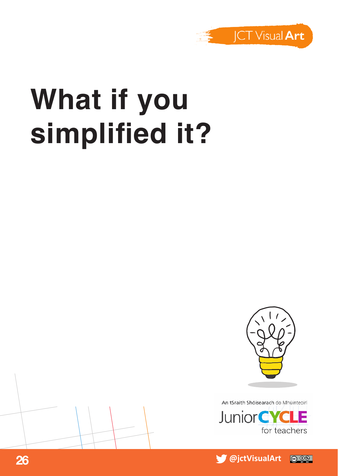

## **What if you simplified it?**





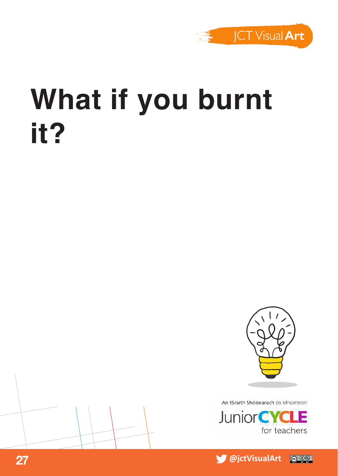

#### **What if you burnt it?**





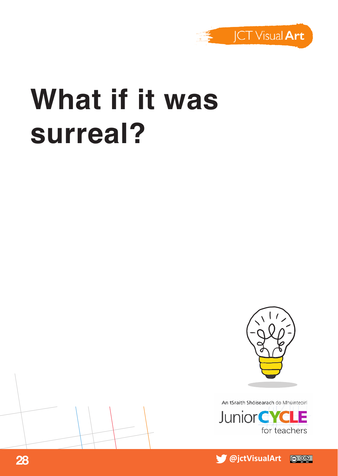

### **What if it was surreal?**





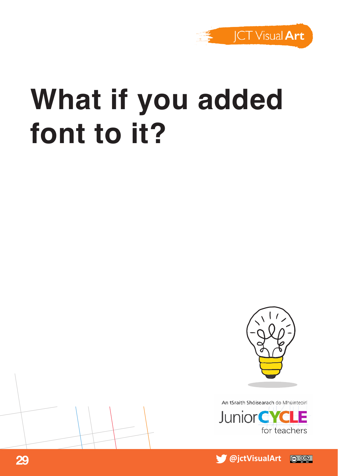

## **What if you added font to it?**





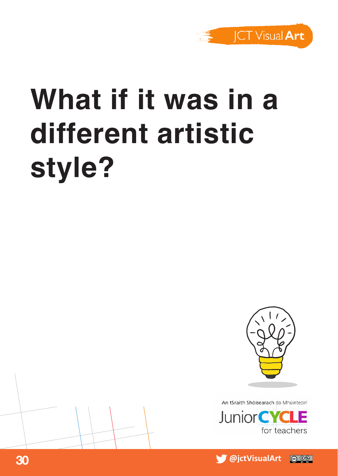

# **What if it was in a different artistic style?**





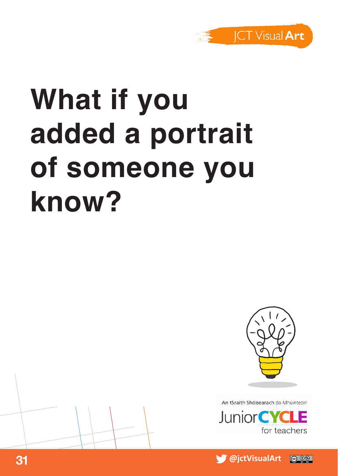

# **What if you added a portrait of someone you know?**





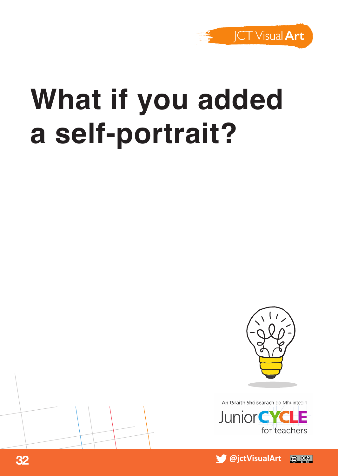

## **What if you added a self-portrait?**



An tSraith Shóisearach do Mhúinteoirí



 **32 a a**  *<b>a* **32 b 32 b 32 b 32** © 0⊛

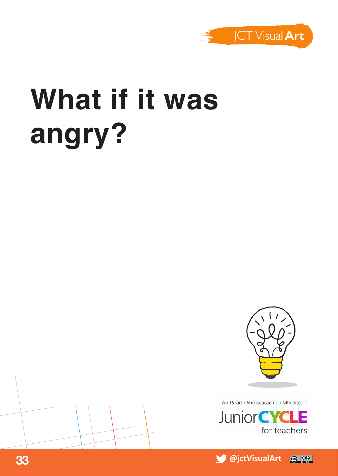

# **What if it was angry?**





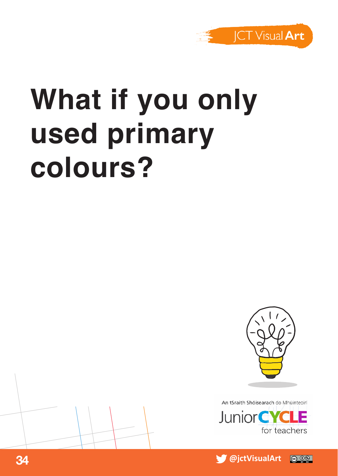

## **What if you only used primary colours?**





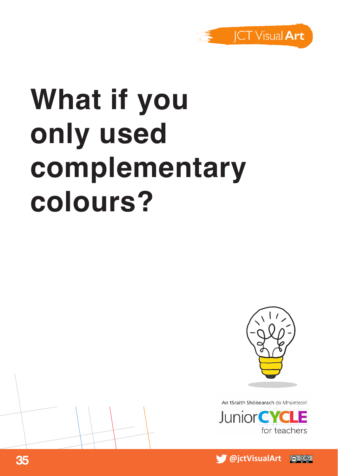

# **What if you only used complementary colours?**



An tSraith Shóisearach do Mhúinteoirí



 **@jctVisualArt 35** @ 06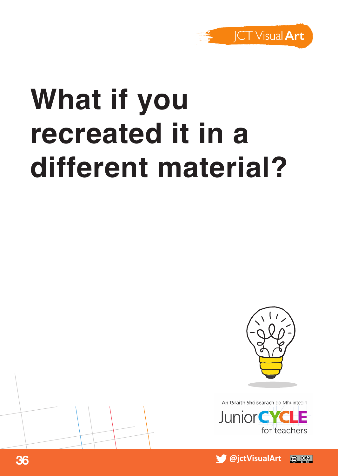

# **What if you recreated it in a different material?**



An tSraith Shóisearach do Mhúinteoir



 **@jctVisualArt 36**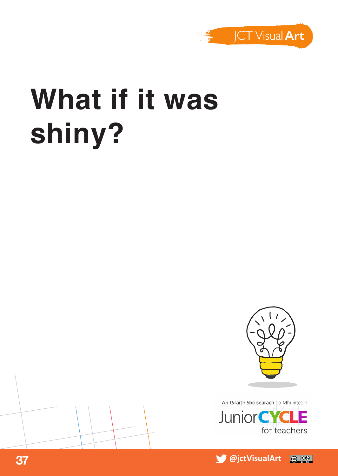

## **What if it was shiny?**





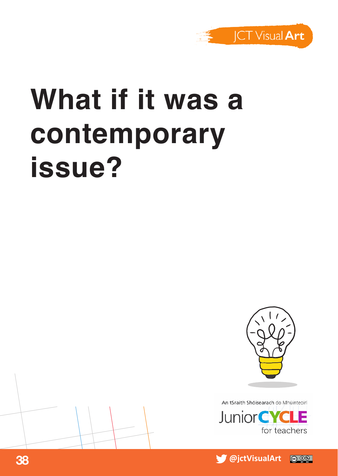

## **What if it was a contemporary issue?**



An tSraith Shóisearach do Mhúinteoirí **JuniorCYC** for teachers

 **@jctVisualArt 38** @ 0⊛

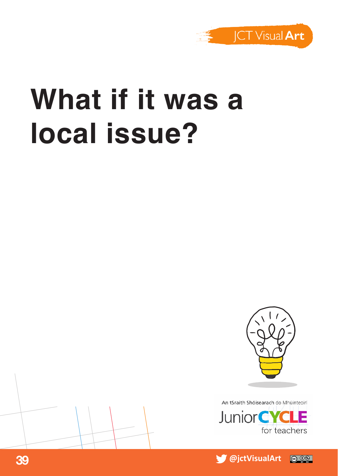

#### **What if it was a local issue?**





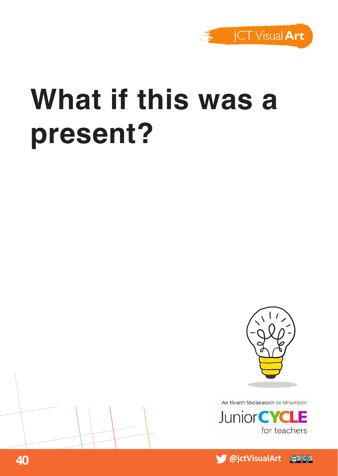

## **What if this was a present?**





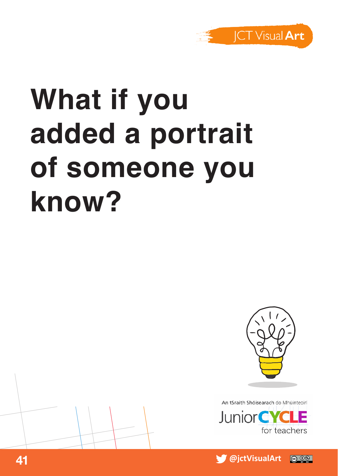

# **What if you added a portrait of someone you know?**



An tSraith Shóisearach do Mhúinteoirí



 **@jctVisualArt 41** @ 06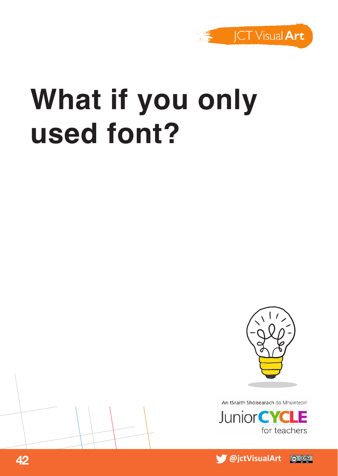

## **What if you only used font?**







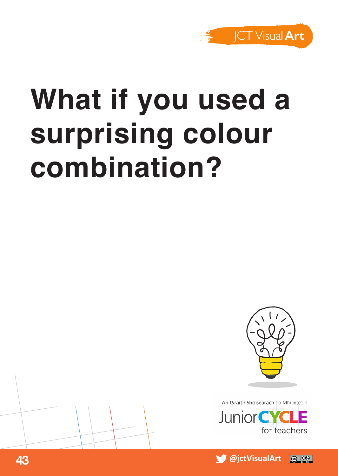

# **What if you used a surprising colour combination?**





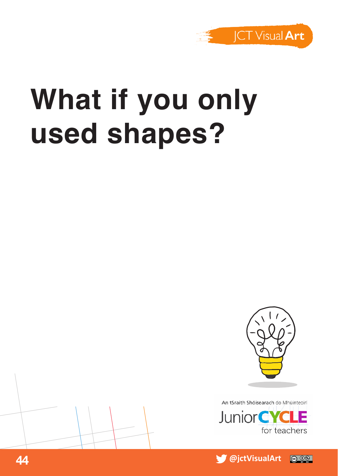

## **What if you only used shapes?**





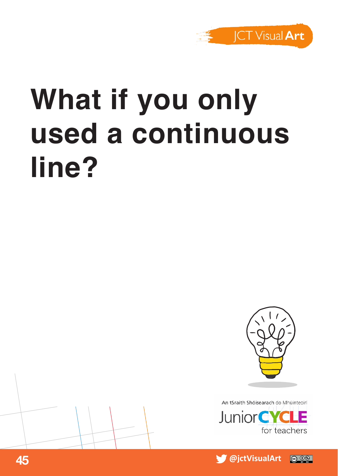

# **What if you only used a continuous line?**





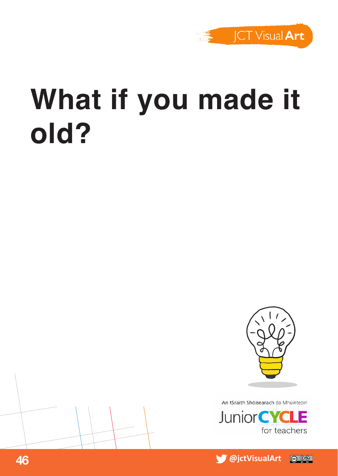

### **What if you made it old?**





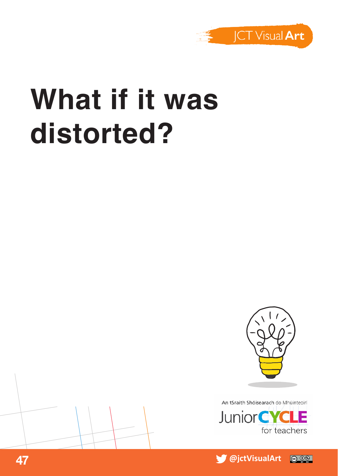

### **What if it was distorted?**







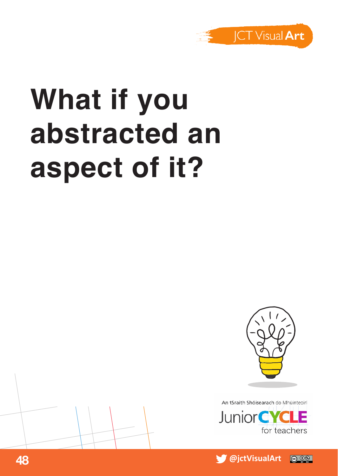

# **What if you abstracted an aspect of it?**





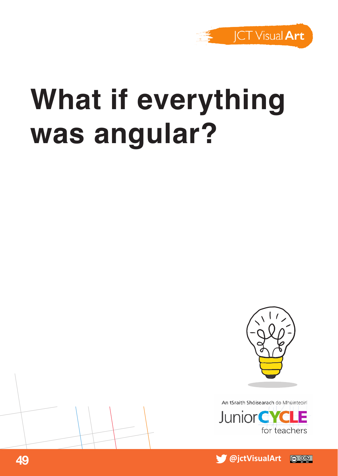

## **What if everything was angular?**





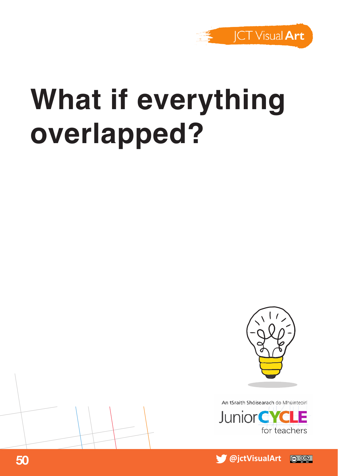

## **What if everything overlapped?**





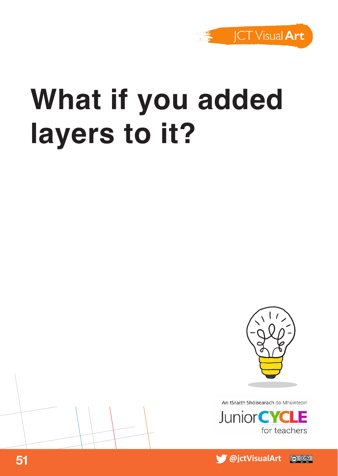

## **What if you added layers to it?**



An tSraith Shóisearach do Mhúinteoirí



 **51 a**  $\bullet$  **51 a**  $\bullet$  **51 a**  $\bullet$  **51 a**  $\bullet$  **51 a**  $\bullet$  **51 a**  $\bullet$  **51**  $\odot$   $\odot$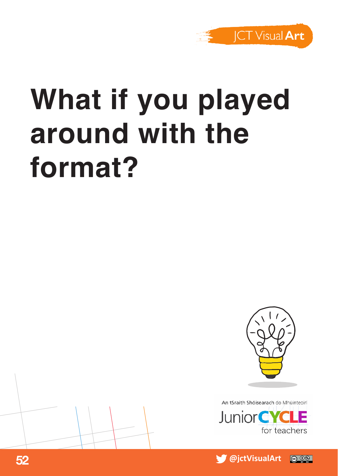

## **What if you played around with the format?**



An tSraith Shóisearach do Mhúinteoirí



 **52 a**  *a* **<b>a**  *<b>1* **1 b 1 <b>s 1 <b>b 1 <b>s 1 b 1 <b>s 1 b 1** @ 0ි

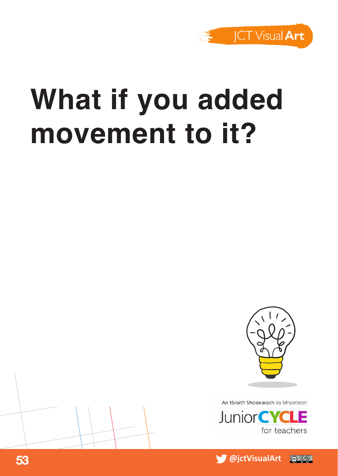

## **What if you added movement to it?**





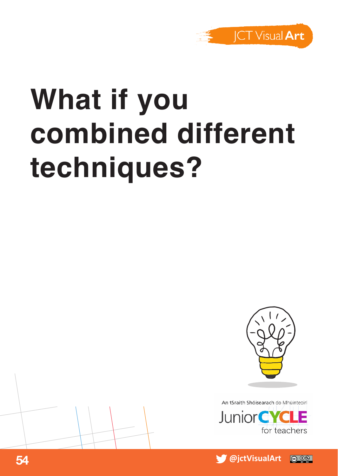

# **What if you combined different techniques?**







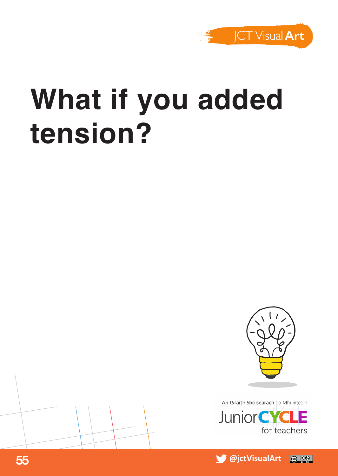

## **What if you added tension?**





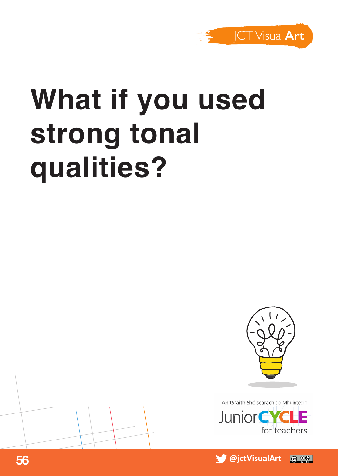

## **What if you used strong tonal qualities?**





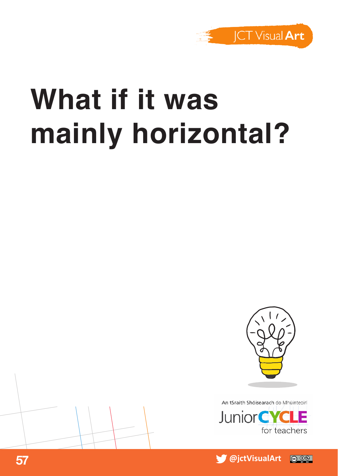

## **What if it was mainly horizontal?**





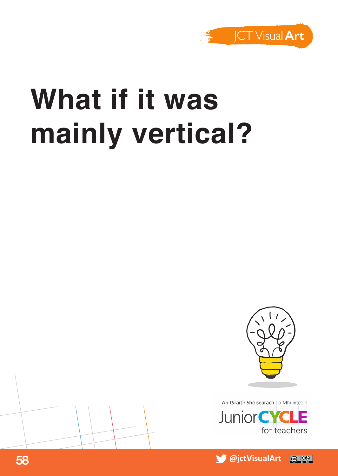

### **What if it was mainly vertical?**





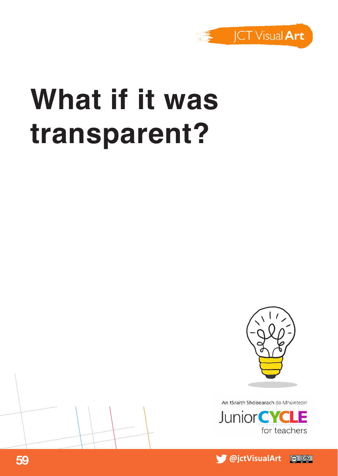

#### **What if it was transparent?**



An tSraith Shóisearach do Mhúinteoirí



 **59 a**  *a* **<b>b b b b b b c b c b c c c c c c c c c**  $\circ$   $\circ$ 

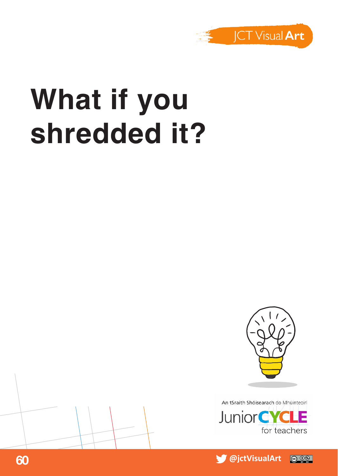

## **What if you shredded it?**





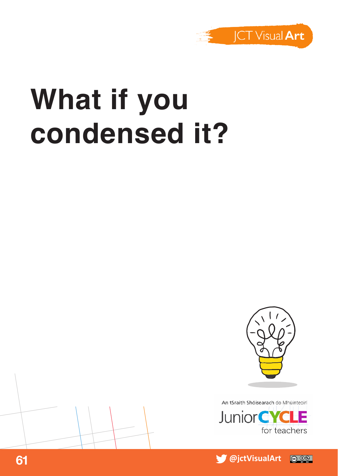

### **What if you condensed it?**



An tSraith Shóisearach do Mhúinteoirí



**61 a**  *<b>a <i> <b>s <b>s <i> <b>s <b>s <b>s s <i> <b>s <b>s s*  $\circ$   $\circ$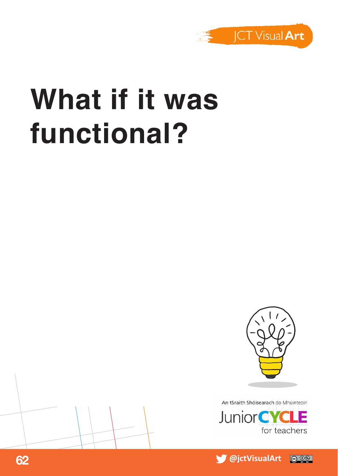

### **What if it was functional?**



An tSraith Shóisearach do Mhúinteoirí



 **@jctVisualArt 62**  $\odot$   $\odot$ 

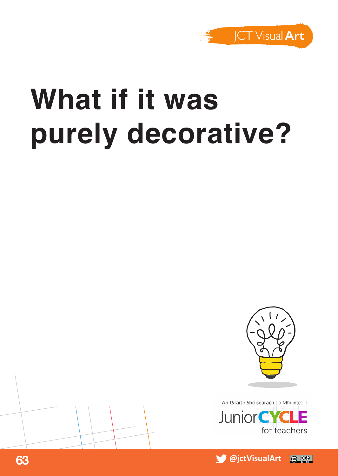

## **What if it was purely decorative?**





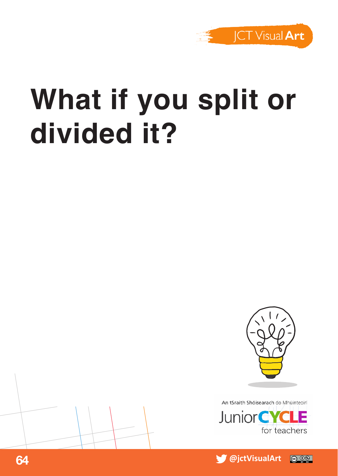

## **What if you split or divided it?**





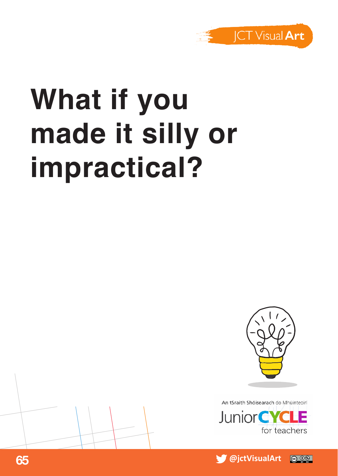

# **What if you made it silly or impractical?**





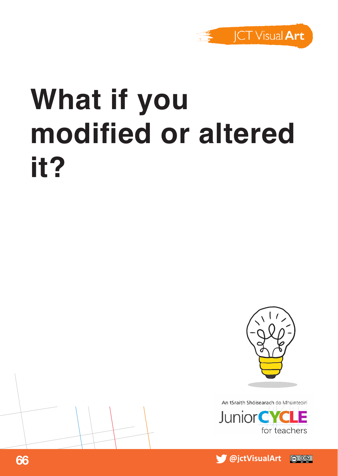

# **What if you modified or altered it?**





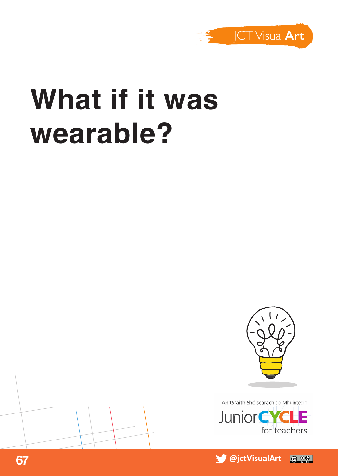

#### **What if it was wearable?**





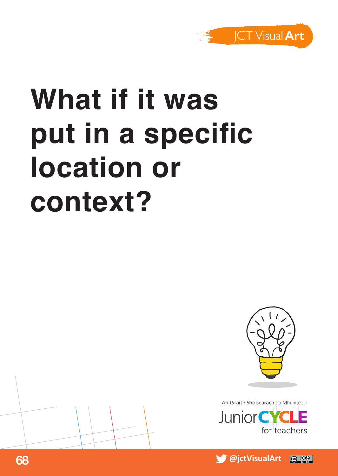

# **What if it was put in a specific location or context?**





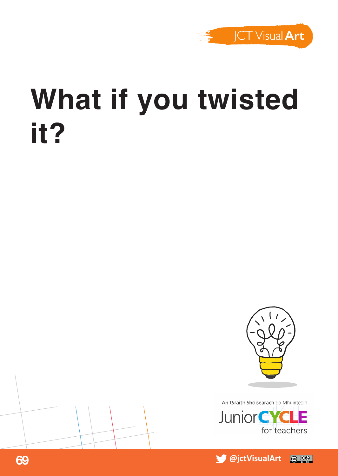

#### **What if you twisted it?**





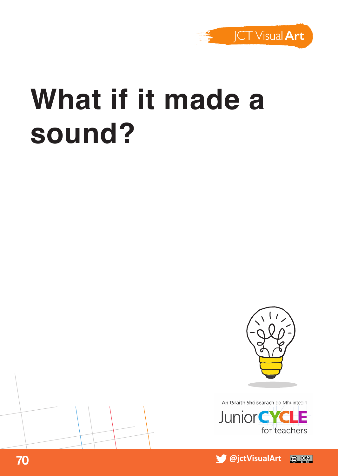

### **What if it made a sound?**





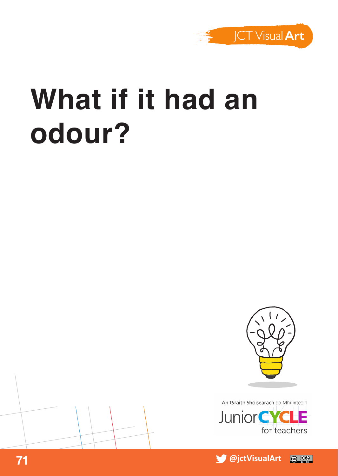

### **What if it had an odour?**





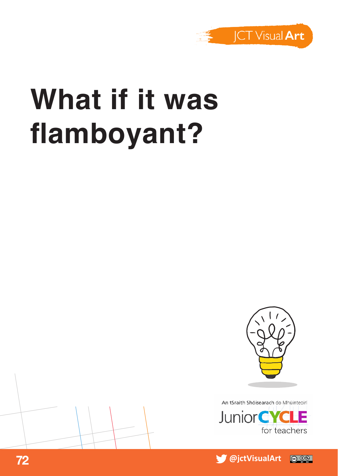

## **What if it was flamboyant?**



An tSraith Shóisearach do Mhúinteoirí



 **@jctVisualArt 72**  $\circ$   $\circ$ 

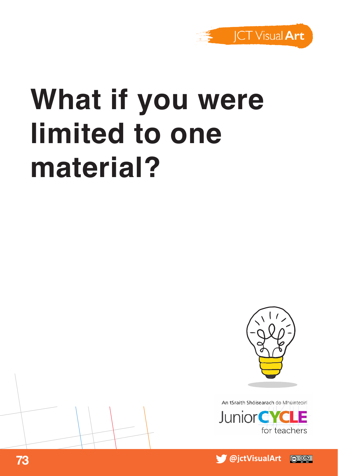

## **What if you were limited to one material?**





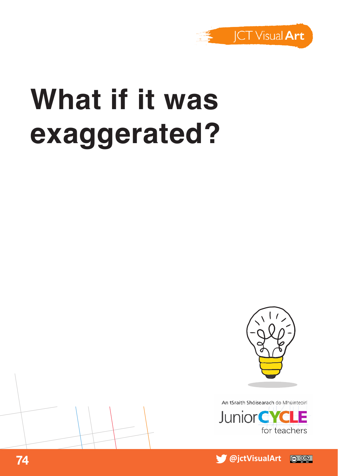

#### **What if it was exaggerated?**





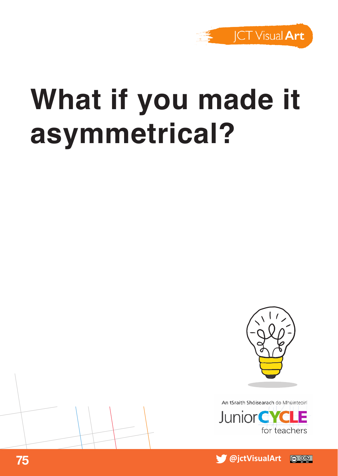

### **What if you made it asymmetrical?**





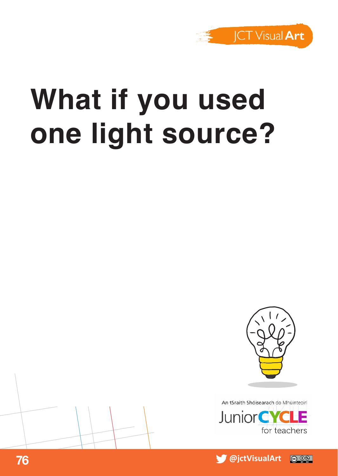

## **What if you used one light source?**



An tSraith Shóisearach do Mhúinteoirí



 **@jctVisualArt 76** @ 0⊛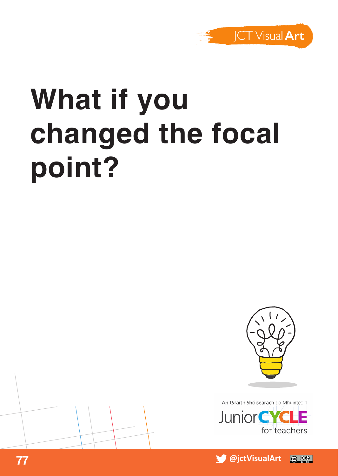

# **What if you changed the focal point?**





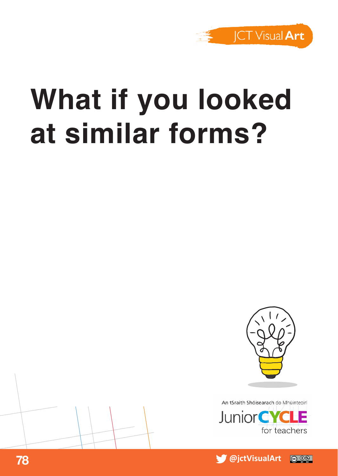

#### **What if you looked at similar forms?**





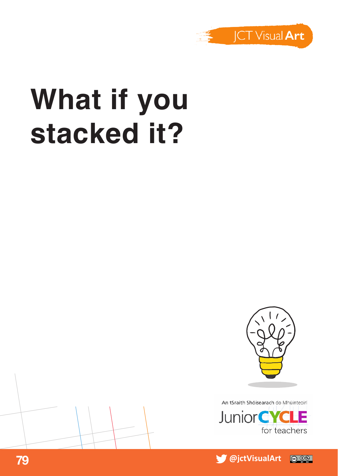

## **What if you stacked it?**



An tSraith Shóisearach do Mhúinteoirí



 **@jctVisualArt 79**  $\odot$  00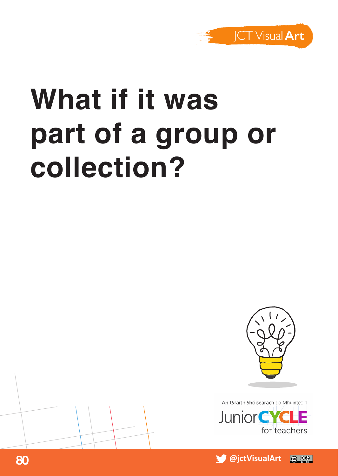

# **What if it was part of a group or collection?**



An tSraith Shóisearach do Mhúinteoir



 **@jctVisualArt 80** @ 06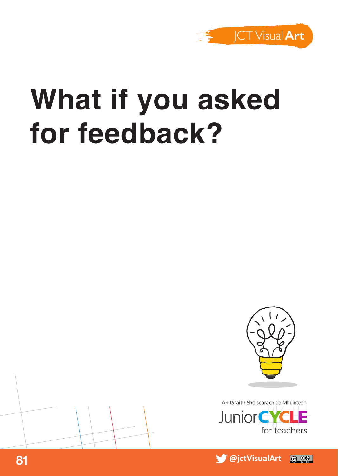

#### **What if you asked for feedback?**





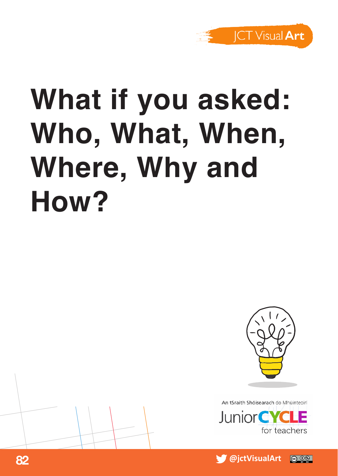

# **What if you asked: Who, What, When, Where, Why and How?**





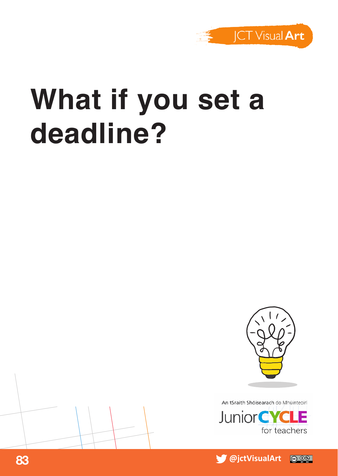

#### **What if you set a deadline?**





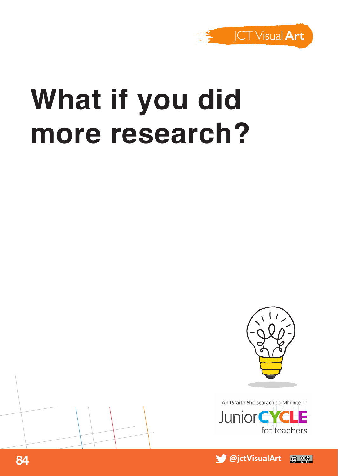

#### **What if you did more research?**